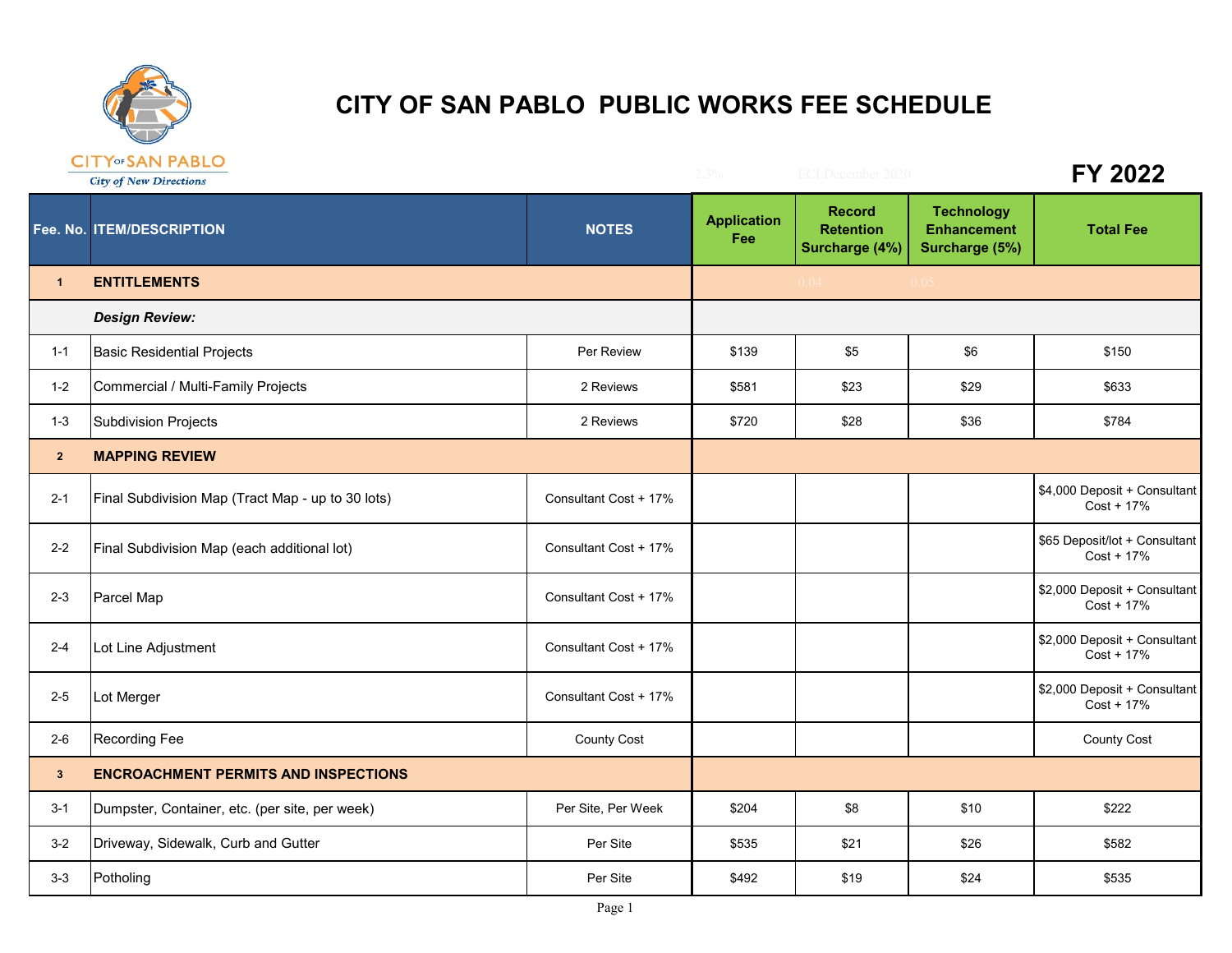

## **CITY OF SAN PABLO PUBLIC WORKS FEE SCHEDULE**

|                 | <b>CITT SAN FABLO</b><br><b>City of New Directions</b> |                       | $2.3\%$                   | <b>ECI December 2020</b>                            |                                                           | FY 2022                                      |
|-----------------|--------------------------------------------------------|-----------------------|---------------------------|-----------------------------------------------------|-----------------------------------------------------------|----------------------------------------------|
|                 | Fee. No. ITEM/DESCRIPTION                              | <b>NOTES</b>          | <b>Application</b><br>Fee | <b>Record</b><br><b>Retention</b><br>Surcharge (4%) | <b>Technology</b><br><b>Enhancement</b><br>Surcharge (5%) | <b>Total Fee</b>                             |
| $\overline{1}$  | <b>ENTITLEMENTS</b>                                    |                       |                           | 0.04                                                |                                                           |                                              |
|                 | <b>Design Review:</b>                                  |                       |                           |                                                     |                                                           |                                              |
| $1 - 1$         | <b>Basic Residential Projects</b>                      | Per Review            | \$139                     | \$5                                                 | \$6                                                       | \$150                                        |
| $1 - 2$         | Commercial / Multi-Family Projects                     | 2 Reviews             | \$581                     | \$23                                                | \$29                                                      | \$633                                        |
| $1 - 3$         | <b>Subdivision Projects</b>                            | 2 Reviews             | \$720                     | \$28                                                | \$36                                                      | \$784                                        |
| 2 <sup>2</sup>  | <b>MAPPING REVIEW</b>                                  |                       |                           |                                                     |                                                           |                                              |
| $2 - 1$         | Final Subdivision Map (Tract Map - up to 30 lots)      | Consultant Cost + 17% |                           |                                                     |                                                           | \$4,000 Deposit + Consultant<br>Cost + 17%   |
| $2 - 2$         | Final Subdivision Map (each additional lot)            | Consultant Cost + 17% |                           |                                                     |                                                           | \$65 Deposit/lot + Consultant<br>Cost + 17%  |
| $2 - 3$         | Parcel Map                                             | Consultant Cost + 17% |                           |                                                     |                                                           | \$2,000 Deposit + Consultant<br>$Cost + 17%$ |
| $2 - 4$         | Lot Line Adjustment                                    | Consultant Cost + 17% |                           |                                                     |                                                           | \$2,000 Deposit + Consultant<br>$Cost + 17%$ |
| $2 - 5$         | Lot Merger                                             | Consultant Cost + 17% |                           |                                                     |                                                           | \$2,000 Deposit + Consultant<br>$Cost + 17%$ |
| $2 - 6$         | Recording Fee                                          | <b>County Cost</b>    |                           |                                                     |                                                           | <b>County Cost</b>                           |
| $3\phantom{.0}$ | <b>ENCROACHMENT PERMITS AND INSPECTIONS</b>            |                       |                           |                                                     |                                                           |                                              |
| $3 - 1$         | Dumpster, Container, etc. (per site, per week)         | Per Site, Per Week    | \$204                     | \$8                                                 | \$10                                                      | \$222                                        |
| $3 - 2$         | Driveway, Sidewalk, Curb and Gutter                    | Per Site              | \$535                     | \$21                                                | \$26                                                      | \$582                                        |
| $3-3$           | Potholing                                              | Per Site              | \$492                     | \$19                                                | \$24                                                      | \$535                                        |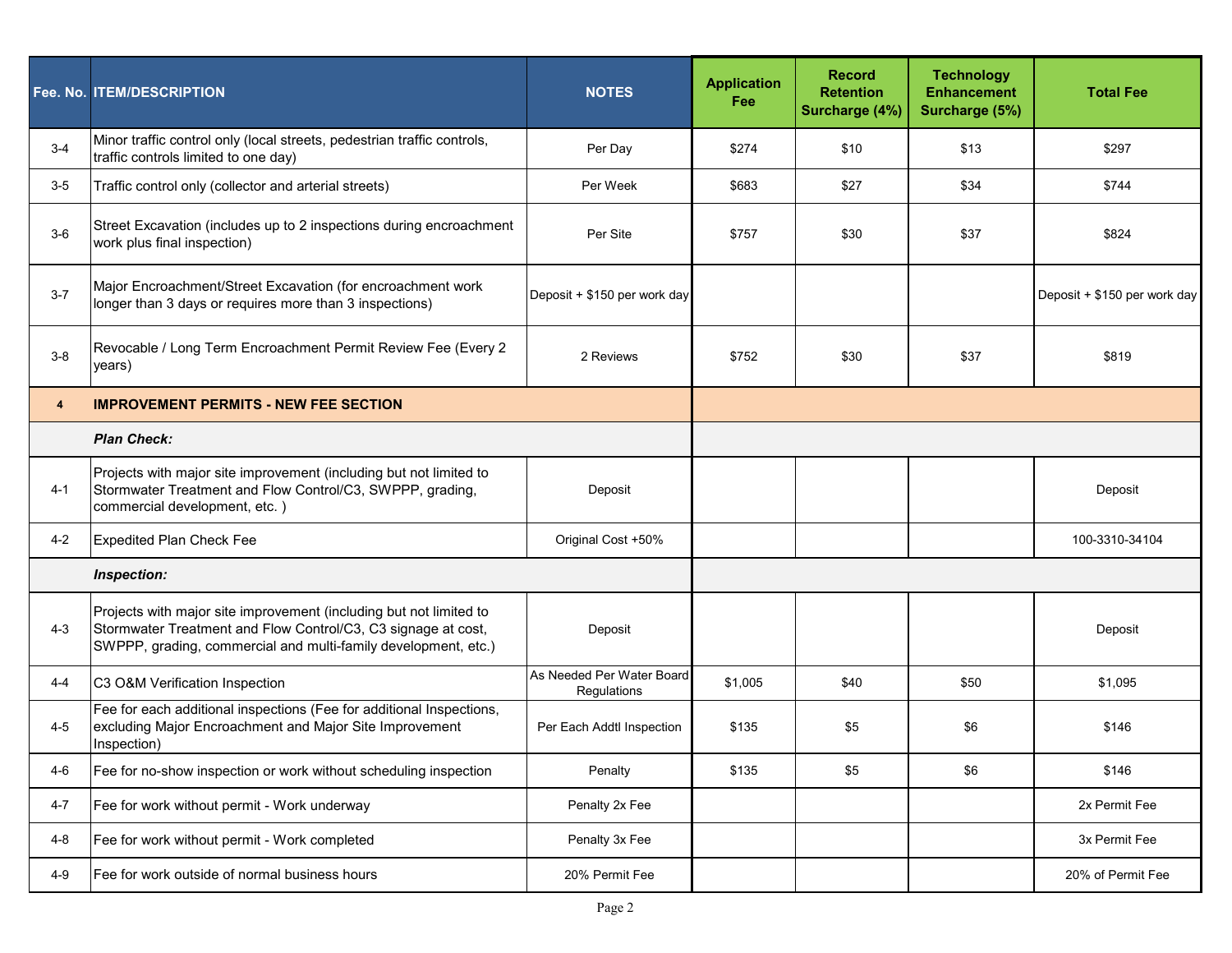|         | Fee. No. ITEM/DESCRIPTION                                                                                                                                                                             | <b>NOTES</b>                             | <b>Application</b><br><b>Fee</b> | <b>Record</b><br><b>Retention</b><br>Surcharge (4%) | <b>Technology</b><br><b>Enhancement</b><br>Surcharge (5%) | <b>Total Fee</b>             |
|---------|-------------------------------------------------------------------------------------------------------------------------------------------------------------------------------------------------------|------------------------------------------|----------------------------------|-----------------------------------------------------|-----------------------------------------------------------|------------------------------|
| $3 - 4$ | Minor traffic control only (local streets, pedestrian traffic controls,<br>traffic controls limited to one day)                                                                                       | Per Day                                  | \$274                            | \$10                                                | \$13                                                      | \$297                        |
| $3-5$   | Traffic control only (collector and arterial streets)                                                                                                                                                 | Per Week                                 | \$683                            | \$27                                                | \$34                                                      | \$744                        |
| $3-6$   | Street Excavation (includes up to 2 inspections during encroachment<br>work plus final inspection)                                                                                                    | Per Site                                 | \$757                            | \$30                                                | \$37                                                      | \$824                        |
| $3 - 7$ | Major Encroachment/Street Excavation (for encroachment work<br>longer than 3 days or requires more than 3 inspections)                                                                                | Deposit + \$150 per work day             |                                  |                                                     |                                                           | Deposit + \$150 per work day |
| $3-8$   | Revocable / Long Term Encroachment Permit Review Fee (Every 2<br>years)                                                                                                                               | 2 Reviews                                | \$752                            | \$30                                                | \$37                                                      | \$819                        |
| 4       | <b>IMPROVEMENT PERMITS - NEW FEE SECTION</b>                                                                                                                                                          |                                          |                                  |                                                     |                                                           |                              |
|         | <b>Plan Check:</b>                                                                                                                                                                                    |                                          |                                  |                                                     |                                                           |                              |
| 4-1     | Projects with major site improvement (including but not limited to<br>Stormwater Treatment and Flow Control/C3, SWPPP, grading,<br>commercial development, etc.)                                      | Deposit                                  |                                  |                                                     |                                                           | Deposit                      |
| $4 - 2$ | <b>Expedited Plan Check Fee</b>                                                                                                                                                                       | Original Cost +50%                       |                                  |                                                     |                                                           | 100-3310-34104               |
|         | Inspection:                                                                                                                                                                                           |                                          |                                  |                                                     |                                                           |                              |
| $4 - 3$ | Projects with major site improvement (including but not limited to<br>Stormwater Treatment and Flow Control/C3, C3 signage at cost,<br>SWPPP, grading, commercial and multi-family development, etc.) | Deposit                                  |                                  |                                                     |                                                           | Deposit                      |
| $4 - 4$ | C3 O&M Verification Inspection                                                                                                                                                                        | As Needed Per Water Board<br>Regulations | \$1,005                          | \$40                                                | \$50                                                      | \$1,095                      |
| $4 - 5$ | Fee for each additional inspections (Fee for additional Inspections,<br>excluding Major Encroachment and Major Site Improvement<br>Inspection)                                                        | Per Each Addtl Inspection                | \$135                            | \$5                                                 | \$6                                                       | \$146                        |
| 4-6     | Fee for no-show inspection or work without scheduling inspection                                                                                                                                      | Penalty                                  | \$135                            | \$5                                                 | \$6                                                       | \$146                        |
| $4 - 7$ | Fee for work without permit - Work underway                                                                                                                                                           | Penalty 2x Fee                           |                                  |                                                     |                                                           | 2x Permit Fee                |
| $4 - 8$ | Fee for work without permit - Work completed                                                                                                                                                          | Penalty 3x Fee                           |                                  |                                                     |                                                           | 3x Permit Fee                |
| $4 - 9$ | Fee for work outside of normal business hours                                                                                                                                                         | 20% Permit Fee                           |                                  |                                                     |                                                           | 20% of Permit Fee            |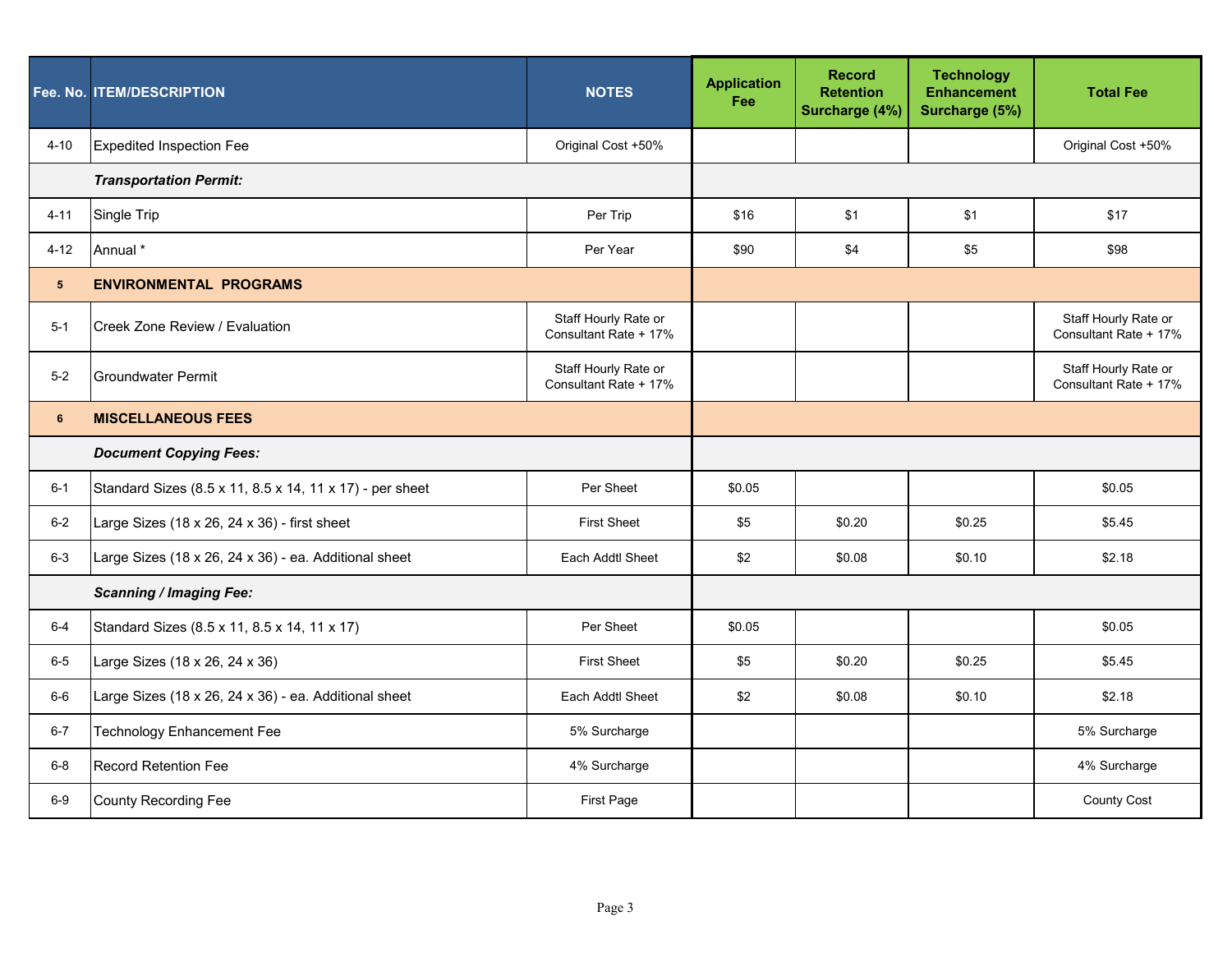|             | Fee. No. ITEM/DESCRIPTION                                | <b>NOTES</b>                                  | <b>Application</b><br>Fee | <b>Record</b><br><b>Retention</b><br>Surcharge (4%) | <b>Technology</b><br><b>Enhancement</b><br>Surcharge (5%) | <b>Total Fee</b>                              |
|-------------|----------------------------------------------------------|-----------------------------------------------|---------------------------|-----------------------------------------------------|-----------------------------------------------------------|-----------------------------------------------|
| $4 - 10$    | <b>Expedited Inspection Fee</b>                          | Original Cost +50%                            |                           |                                                     |                                                           | Original Cost +50%                            |
|             | <b>Transportation Permit:</b>                            |                                               |                           |                                                     |                                                           |                                               |
| $4 - 11$    | Single Trip                                              | Per Trip                                      | \$16                      | \$1                                                 | \$1                                                       | \$17                                          |
| $4 - 12$    | Annual *                                                 | Per Year                                      | \$90                      | \$4                                                 | \$5                                                       | \$98                                          |
| $5^{\circ}$ | <b>ENVIRONMENTAL PROGRAMS</b>                            |                                               |                           |                                                     |                                                           |                                               |
| $5-1$       | Creek Zone Review / Evaluation                           | Staff Hourly Rate or<br>Consultant Rate + 17% |                           |                                                     |                                                           | Staff Hourly Rate or<br>Consultant Rate + 17% |
| $5-2$       | Groundwater Permit                                       | Staff Hourly Rate or<br>Consultant Rate + 17% |                           |                                                     |                                                           | Staff Hourly Rate or<br>Consultant Rate + 17% |
| 6           | <b>MISCELLANEOUS FEES</b>                                |                                               |                           |                                                     |                                                           |                                               |
|             | <b>Document Copying Fees:</b>                            |                                               |                           |                                                     |                                                           |                                               |
| $6 - 1$     | Standard Sizes (8.5 x 11, 8.5 x 14, 11 x 17) - per sheet | Per Sheet                                     | \$0.05                    |                                                     |                                                           | \$0.05                                        |
| $6-2$       | Large Sizes (18 x 26, 24 x 36) - first sheet             | <b>First Sheet</b>                            | \$5                       | \$0.20                                              | \$0.25                                                    | \$5.45                                        |
| $6 - 3$     | Large Sizes (18 x 26, 24 x 36) - ea. Additional sheet    | Each Addtl Sheet                              | \$2                       | \$0.08                                              | \$0.10                                                    | \$2.18                                        |
|             | <b>Scanning / Imaging Fee:</b>                           |                                               |                           |                                                     |                                                           |                                               |
| 6-4         | Standard Sizes (8.5 x 11, 8.5 x 14, 11 x 17)             | Per Sheet                                     | \$0.05                    |                                                     |                                                           | \$0.05                                        |
| $6-5$       | Large Sizes (18 x 26, 24 x 36)                           | <b>First Sheet</b>                            | \$5                       | \$0.20                                              | \$0.25                                                    | \$5.45                                        |
| $6-6$       | Large Sizes (18 x 26, 24 x 36) - ea. Additional sheet    | Each Addtl Sheet                              | \$2                       | \$0.08                                              | \$0.10                                                    | \$2.18                                        |
| $6 - 7$     | <b>Technology Enhancement Fee</b>                        | 5% Surcharge                                  |                           |                                                     |                                                           | 5% Surcharge                                  |
| $6-8$       | <b>Record Retention Fee</b>                              | 4% Surcharge                                  |                           |                                                     |                                                           | 4% Surcharge                                  |
| $6-9$       | <b>County Recording Fee</b>                              | <b>First Page</b>                             |                           |                                                     |                                                           | <b>County Cost</b>                            |